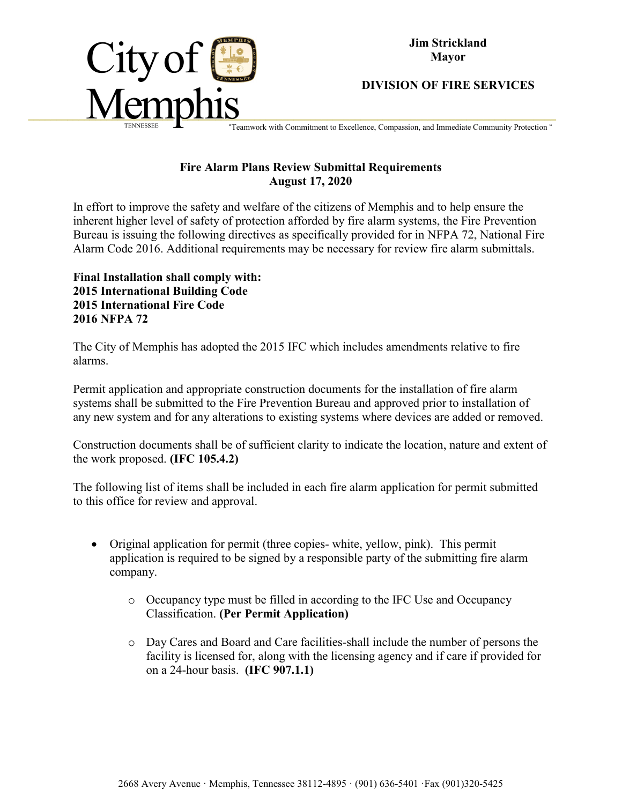

## **DIVISION OF FIRE SERVICES**

Feamwork with Commitment to Excellence, Compassion, and Immediate Community Protection "

## **Fire Alarm Plans Review Submittal Requirements August 17, 2020**

In effort to improve the safety and welfare of the citizens of Memphis and to help ensure the inherent higher level of safety of protection afforded by fire alarm systems, the Fire Prevention Bureau is issuing the following directives as specifically provided for in NFPA 72, National Fire Alarm Code 2016. Additional requirements may be necessary for review fire alarm submittals.

**Final Installation shall comply with: 2015 International Building Code 2015 International Fire Code 2016 NFPA 72**

The City of Memphis has adopted the 2015 IFC which includes amendments relative to fire alarms.

Permit application and appropriate construction documents for the installation of fire alarm systems shall be submitted to the Fire Prevention Bureau and approved prior to installation of any new system and for any alterations to existing systems where devices are added or removed.

Construction documents shall be of sufficient clarity to indicate the location, nature and extent of the work proposed. **(IFC 105.4.2)**

The following list of items shall be included in each fire alarm application for permit submitted to this office for review and approval.

- Original application for permit (three copies- white, yellow, pink). This permit application is required to be signed by a responsible party of the submitting fire alarm company.
	- o Occupancy type must be filled in according to the IFC Use and Occupancy Classification. **(Per Permit Application)**
	- o Day Cares and Board and Care facilities-shall include the number of persons the facility is licensed for, along with the licensing agency and if care if provided for on a 24-hour basis. **(IFC 907.1.1)**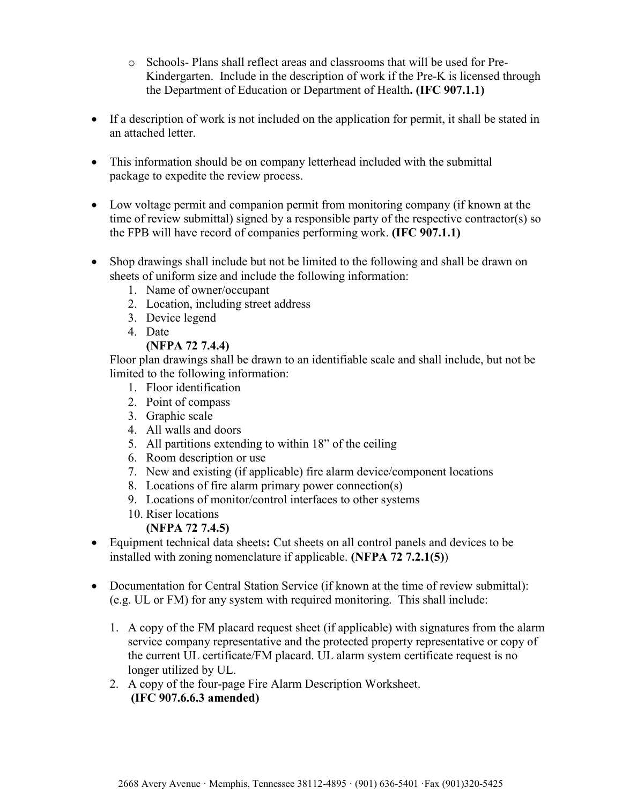- o Schools- Plans shall reflect areas and classrooms that will be used for Pre-Kindergarten. Include in the description of work if the Pre-K is licensed through the Department of Education or Department of Health**. (IFC 907.1.1)**
- If a description of work is not included on the application for permit, it shall be stated in an attached letter.
- This information should be on company letterhead included with the submittal package to expedite the review process.
- Low voltage permit and companion permit from monitoring company (if known at the time of review submittal) signed by a responsible party of the respective contractor(s) so the FPB will have record of companies performing work. **(IFC 907.1.1)**
- Shop drawings shall include but not be limited to the following and shall be drawn on sheets of uniform size and include the following information:
	- 1. Name of owner/occupant
	- 2. Location, including street address
	- 3. Device legend
	- 4. Date
		- **(NFPA 72 7.4.4)**

Floor plan drawings shall be drawn to an identifiable scale and shall include, but not be limited to the following information:

- 1. Floor identification
- 2. Point of compass
- 3. Graphic scale
- 4. All walls and doors
- 5. All partitions extending to within 18" of the ceiling
- 6. Room description or use
- 7. New and existing (if applicable) fire alarm device/component locations
- 8. Locations of fire alarm primary power connection(s)
- 9. Locations of monitor/control interfaces to other systems
- 10. Riser locations

**(NFPA 72 7.4.5)**

- Equipment technical data sheets**:** Cut sheets on all control panels and devices to be installed with zoning nomenclature if applicable. **(NFPA 72 7.2.1(5)**)
- Documentation for Central Station Service (if known at the time of review submittal): (e.g. UL or FM) for any system with required monitoring. This shall include:
	- 1. A copy of the FM placard request sheet (if applicable) with signatures from the alarm service company representative and the protected property representative or copy of the current UL certificate/FM placard. UL alarm system certificate request is no longer utilized by UL.
	- 2. A copy of the four-page Fire Alarm Description Worksheet. **(IFC 907.6.6.3 amended)**